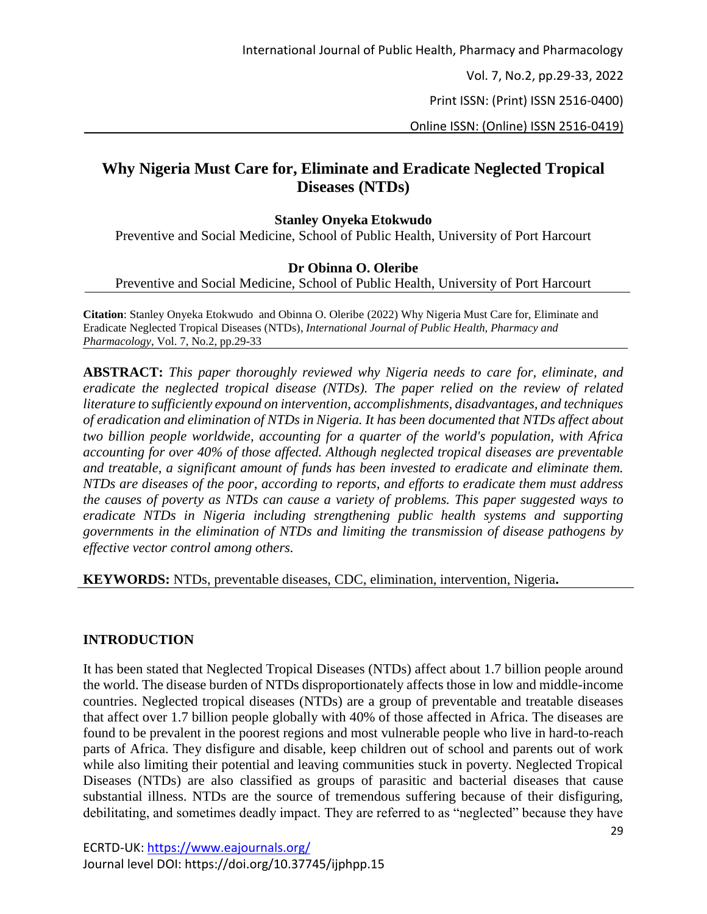Vol. 7, No.2, pp.29-33, 2022

Print ISSN: (Print) ISSN 2516-0400)

Online ISSN: (Online) ISSN 2516-0419)

# **Why Nigeria Must Care for, Eliminate and Eradicate Neglected Tropical Diseases (NTDs)**

### **Stanley Onyeka Etokwudo**

Preventive and Social Medicine, School of Public Health, University of Port Harcourt

### **Dr Obinna O. Oleribe**

Preventive and Social Medicine, School of Public Health, University of Port Harcourt

**Citation**: Stanley Onyeka Etokwudo and Obinna O. Oleribe (2022) Why Nigeria Must Care for, Eliminate and Eradicate Neglected Tropical Diseases (NTDs), *International Journal of Public Health, Pharmacy and Pharmacology*, Vol. 7, No.2, pp.29-33

**ABSTRACT:** *This paper thoroughly reviewed why Nigeria needs to care for, eliminate, and eradicate the neglected tropical disease (NTDs). The paper relied on the review of related literature to sufficiently expound on intervention, accomplishments, disadvantages, and techniques of eradication and elimination of NTDs in Nigeria. It has been documented that NTDs affect about two billion people worldwide, accounting for a quarter of the world's population, with Africa accounting for over 40% of those affected. Although neglected tropical diseases are preventable and treatable, a significant amount of funds has been invested to eradicate and eliminate them. NTDs are diseases of the poor, according to reports, and efforts to eradicate them must address the causes of poverty as NTDs can cause a variety of problems. This paper suggested ways to eradicate NTDs in Nigeria including strengthening public health systems and supporting governments in the elimination of NTDs and limiting the transmission of disease pathogens by effective vector control among others.*

**KEYWORDS:** NTDs, preventable diseases, CDC, elimination, intervention, Nigeria**.**

### **INTRODUCTION**

It has been stated that Neglected Tropical Diseases (NTDs) affect about 1.7 billion people around the world. The disease burden of NTDs disproportionately affects those in low and middle-income countries. Neglected tropical diseases (NTDs) are a group of preventable and treatable diseases that affect over 1.7 billion people globally with 40% of those affected in Africa. The diseases are found to be prevalent in the poorest regions and most vulnerable people who live in hard-to-reach parts of Africa. They disfigure and disable, keep children out of school and parents out of work while also limiting their potential and leaving communities stuck in poverty. Neglected Tropical Diseases (NTDs) are also classified as groups of parasitic and bacterial diseases that cause substantial illness. NTDs are the source of tremendous suffering because of their disfiguring, debilitating, and sometimes deadly impact. They are referred to as "neglected" because they have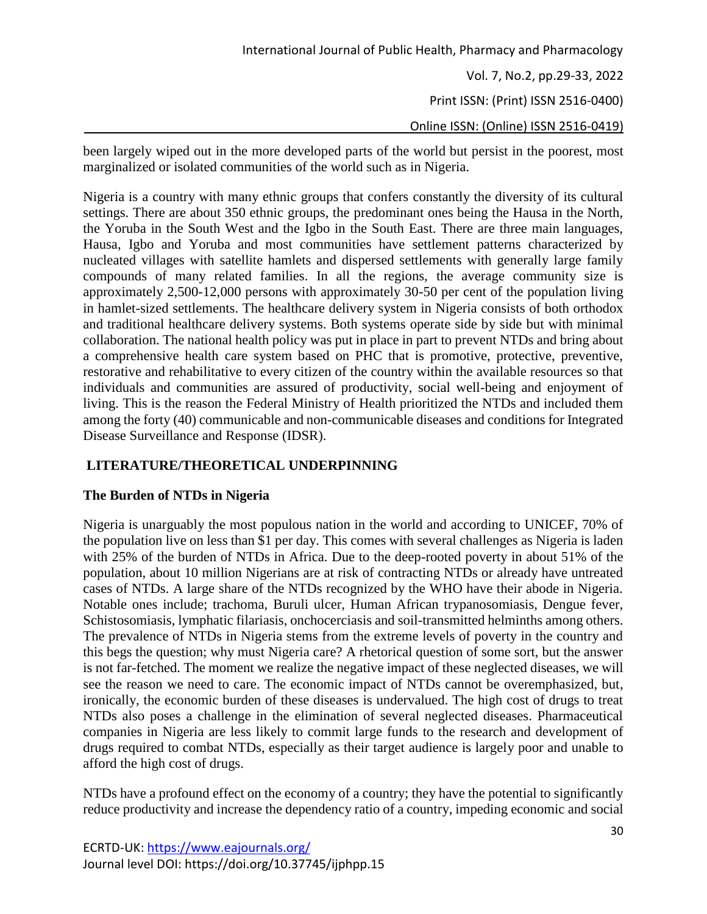Vol. 7, No.2, pp.29-33, 2022

Print ISSN: (Print) ISSN 2516-0400)

Online ISSN: (Online) ISSN 2516-0419)

been largely wiped out in the more developed parts of the world but persist in the poorest, most marginalized or isolated communities of the world such as in Nigeria.

Nigeria is a country with many ethnic groups that confers constantly the diversity of its cultural settings. There are about 350 ethnic groups, the predominant ones being the Hausa in the North, the Yoruba in the South West and the Igbo in the South East. There are three main languages, Hausa, Igbo and Yoruba and most communities have settlement patterns characterized by nucleated villages with satellite hamlets and dispersed settlements with generally large family compounds of many related families. In all the regions, the average community size is approximately 2,500-12,000 persons with approximately 30-50 per cent of the population living in hamlet-sized settlements. The healthcare delivery system in Nigeria consists of both orthodox and traditional healthcare delivery systems. Both systems operate side by side but with minimal collaboration. The national health policy was put in place in part to prevent NTDs and bring about a comprehensive health care system based on PHC that is promotive, protective, preventive, restorative and rehabilitative to every citizen of the country within the available resources so that individuals and communities are assured of productivity, social well-being and enjoyment of living. This is the reason the Federal Ministry of Health prioritized the NTDs and included them among the forty (40) communicable and non-communicable diseases and conditions for Integrated Disease Surveillance and Response (IDSR).

## **LITERATURE/THEORETICAL UNDERPINNING**

### **The Burden of NTDs in Nigeria**

Nigeria is unarguably the most populous nation in the world and according to UNICEF, 70% of the population live on less than \$1 per day. This comes with several challenges as Nigeria is laden with 25% of the burden of NTDs in Africa. Due to the deep-rooted poverty in about 51% of the population, about 10 million Nigerians are at risk of contracting NTDs or already have untreated cases of NTDs. A large share of the NTDs recognized by the WHO have their abode in Nigeria. Notable ones include; trachoma, Buruli ulcer, Human African trypanosomiasis, Dengue fever, Schistosomiasis, lymphatic filariasis, onchocerciasis and soil-transmitted helminths among others. The prevalence of NTDs in Nigeria stems from the extreme levels of poverty in the country and this begs the question; why must Nigeria care? A rhetorical question of some sort, but the answer is not far-fetched. The moment we realize the negative impact of these neglected diseases, we will see the reason we need to care. The economic impact of NTDs cannot be overemphasized, but, ironically, the economic burden of these diseases is undervalued. The high cost of drugs to treat NTDs also poses a challenge in the elimination of several neglected diseases. Pharmaceutical companies in Nigeria are less likely to commit large funds to the research and development of drugs required to combat NTDs, especially as their target audience is largely poor and unable to afford the high cost of drugs.

NTDs have a profound effect on the economy of a country; they have the potential to significantly reduce productivity and increase the dependency ratio of a country, impeding economic and social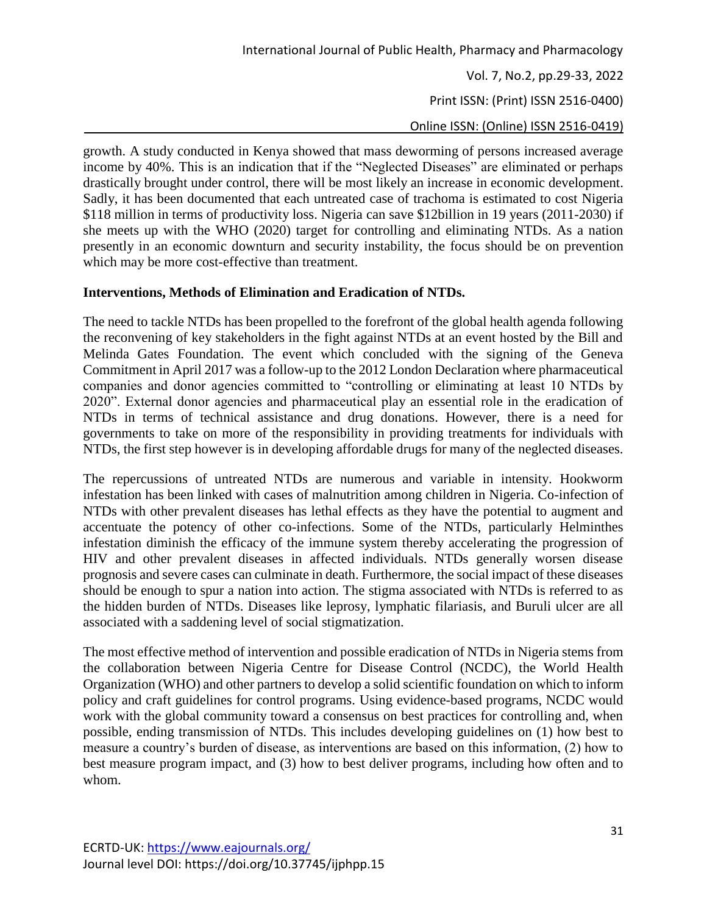Vol. 7, No.2, pp.29-33, 2022

Print ISSN: (Print) ISSN 2516-0400)

Online ISSN: (Online) ISSN 2516-0419)

growth. A study conducted in Kenya showed that mass deworming of persons increased average income by 40%. This is an indication that if the "Neglected Diseases" are eliminated or perhaps drastically brought under control, there will be most likely an increase in economic development. Sadly, it has been documented that each untreated case of trachoma is estimated to cost Nigeria \$118 million in terms of productivity loss. Nigeria can save \$12billion in 19 years (2011-2030) if she meets up with the WHO (2020) target for controlling and eliminating NTDs. As a nation presently in an economic downturn and security instability, the focus should be on prevention which may be more cost-effective than treatment.

### **Interventions, Methods of Elimination and Eradication of NTDs.**

The need to tackle NTDs has been propelled to the forefront of the global health agenda following the reconvening of key stakeholders in the fight against NTDs at an event hosted by the Bill and Melinda Gates Foundation. The event which concluded with the signing of the Geneva Commitment in April 2017 was a follow-up to the 2012 London Declaration where pharmaceutical companies and donor agencies committed to "controlling or eliminating at least 10 NTDs by 2020". External donor agencies and pharmaceutical play an essential role in the eradication of NTDs in terms of technical assistance and drug donations. However, there is a need for governments to take on more of the responsibility in providing treatments for individuals with NTDs, the first step however is in developing affordable drugs for many of the neglected diseases.

The repercussions of untreated NTDs are numerous and variable in intensity. Hookworm infestation has been linked with cases of malnutrition among children in Nigeria. Co-infection of NTDs with other prevalent diseases has lethal effects as they have the potential to augment and accentuate the potency of other co-infections. Some of the NTDs, particularly Helminthes infestation diminish the efficacy of the immune system thereby accelerating the progression of HIV and other prevalent diseases in affected individuals. NTDs generally worsen disease prognosis and severe cases can culminate in death. Furthermore, the social impact of these diseases should be enough to spur a nation into action. The stigma associated with NTDs is referred to as the hidden burden of NTDs. Diseases like leprosy, lymphatic filariasis, and Buruli ulcer are all associated with a saddening level of social stigmatization.

The most effective method of intervention and possible eradication of NTDs in Nigeria stems from the collaboration between Nigeria Centre for Disease Control (NCDC), the World Health Organization (WHO) and other partners to develop a solid scientific foundation on which to inform policy and craft guidelines for control programs. Using evidence-based programs, NCDC would work with the global community toward a consensus on best practices for controlling and, when possible, ending transmission of NTDs. This includes developing guidelines on (1) how best to measure a country's burden of disease, as interventions are based on this information, (2) how to best measure program impact, and (3) how to best deliver programs, including how often and to whom.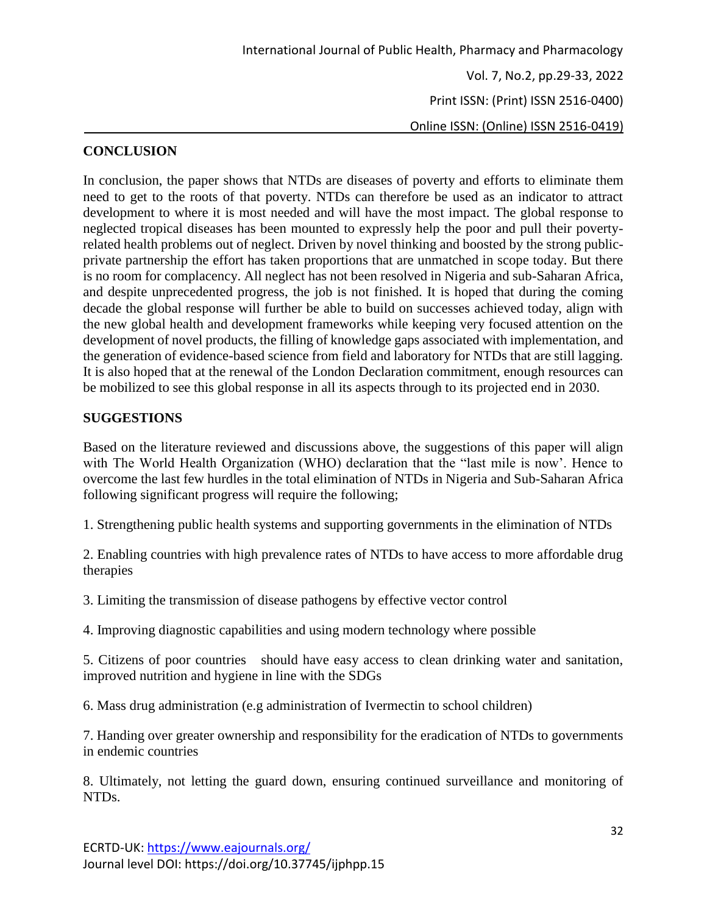Online ISSN: (Online) ISSN 2516-0419)

### **CONCLUSION**

In conclusion, the paper shows that NTDs are diseases of poverty and efforts to eliminate them need to get to the roots of that poverty. NTDs can therefore be used as an indicator to attract development to where it is most needed and will have the most impact. The global response to neglected tropical diseases has been mounted to expressly help the poor and pull their povertyrelated health problems out of neglect. Driven by novel thinking and boosted by the strong publicprivate partnership the effort has taken proportions that are unmatched in scope today. But there is no room for complacency. All neglect has not been resolved in Nigeria and sub-Saharan Africa, and despite unprecedented progress, the job is not finished. It is hoped that during the coming decade the global response will further be able to build on successes achieved today, align with the new global health and development frameworks while keeping very focused attention on the development of novel products, the filling of knowledge gaps associated with implementation, and the generation of evidence-based science from field and laboratory for NTDs that are still lagging. It is also hoped that at the renewal of the London Declaration commitment, enough resources can be mobilized to see this global response in all its aspects through to its projected end in 2030.

### **SUGGESTIONS**

Based on the literature reviewed and discussions above, the suggestions of this paper will align with The World Health Organization (WHO) declaration that the "last mile is now'. Hence to overcome the last few hurdles in the total elimination of NTDs in Nigeria and Sub-Saharan Africa following significant progress will require the following;

1. Strengthening public health systems and supporting governments in the elimination of NTDs

2. Enabling countries with high prevalence rates of NTDs to have access to more affordable drug therapies

3. Limiting the transmission of disease pathogens by effective vector control

4. Improving diagnostic capabilities and using modern technology where possible

5. Citizens of poor countries should have easy access to clean drinking water and sanitation, improved nutrition and hygiene in line with the SDGs

6. Mass drug administration (e.g administration of Ivermectin to school children)

7. Handing over greater ownership and responsibility for the eradication of NTDs to governments in endemic countries

8. Ultimately, not letting the guard down, ensuring continued surveillance and monitoring of NTDs.